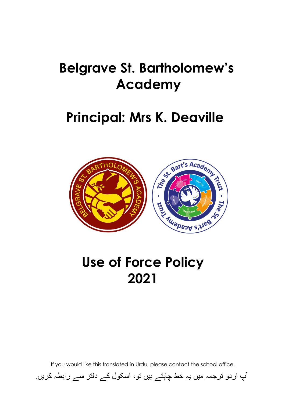# **Belgrave St. Bartholomew's Academy**

### **Principal: Mrs K. Deaville**



# **Use of Force Policy 2021**

If you would like this translated in Urdu, please contact the school office.

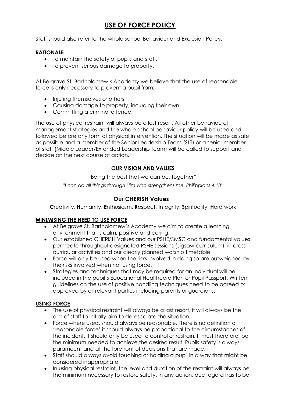### **USE OF FORCE POLICY**

Staff should also refer to the whole school Behaviour and Exclusion Policy.

#### **RATIONALE**

- To maintain the safety of pupils and staff.
- To prevent serious damage to property.

At Belgrave St. Bartholomew's Academy we believe that the use of reasonable force is only necessary to prevent a pupil from:

- Injuring themselves or others.
- Causing damage to property, including their own.
- Committing a criminal offence.

The use of physical restraint will always be a last resort. All other behavioural management strategies and the whole school behaviour policy will be used and followed before any form of physical intervention. The situation will be made as safe as possible and a member of the Senior Leadership Team (SLT) or a senior member of staff (Middle Leader/Extended Leadership Team) will be called to support and decide on the next course of action.

#### **OUR VISION AND VALUES**

"Being the best that we can be, together".

*"I can do all things through Him who strengthens me. Philippians 4:13"*

#### **Our CHERISH Values**

**C**reativity, **H**umanity, **E**nthusiasm, **R**espect, **I**ntegrity, **S**pirituality, **H**ard work

#### **MINIMISING THE NEED TO USE FORCE**

- At Belgrave St. Bartholomew's Academy we aim to create a learning environment that is calm, positive and caring.
- Our established CHERISH Values and our PSHE/SMSC and fundamental values permeate throughout designated PSHE sessions (Jigsaw curriculum), in crosscurricular activities and our clearly planned worship timetable.
- Force will only be used when the risks involved in doing so are outweighed by the risks involved when not using force.
- Strategies and techniques that may be required for an individual will be included in the pupil's Educational Healthcare Plan or Pupil Passport. Written guidelines on the use of positive handling techniques need to be agreed or approved by all relevant parties including parents or guardians.

#### **USING FORCE**

- The use of physical restraint will always be a last resort, it will always be the aim of staff to initially aim to de-escalate the situation.
- Force where used, should always be reasonable. There is no definition of 'reasonable force' it should always be proportional to the circumstances of the incident. It should only be used to control or restrain. It must therefore, be the minimum needed to achieve the desired result. Pupils safety is always paramount and at the forefront of decisions that are made.
- Staff should always avoid touching or holding a pupil in a way that might be considered inappropriate.
- In using physical restraint, the level and duration of the restraint will always be the minimum necessary to restore safety. In any action, due regard has to be